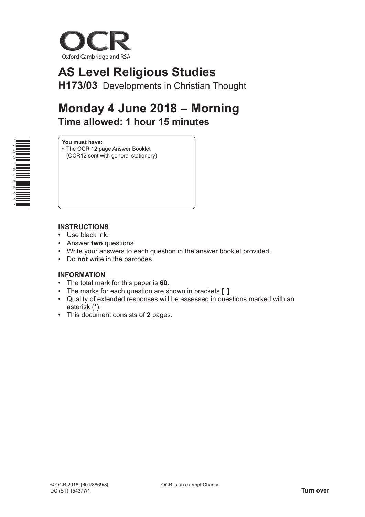

# **AS Level Religious Studies**

**H173/03** Developments in Christian Thought

## **Monday 4 June 2018 – Morning Time allowed: 1 hour 15 minutes**



**You must have:**

• The OCR 12 page Answer Booklet (OCR12 sent with general stationery)

#### **INSTRUCTIONS**

- Use black ink.
- Answer **two** questions.
- Write your answers to each question in the answer booklet provided.
- Do **not** write in the barcodes.

### **INFORMATION**

- The total mark for this paper is **60**.
- The marks for each question are shown in brackets **[ ]**.
- Quality of extended responses will be assessed in questions marked with an asterisk (\*).
- This document consists of **2** pages.